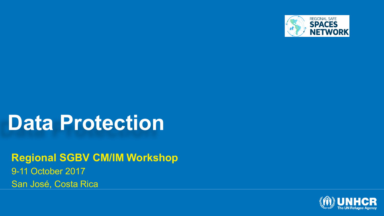

### **Data Protection**

**Regional SGBV CM/IM Workshop** 9-11 October 2017 San José, Costa Rica

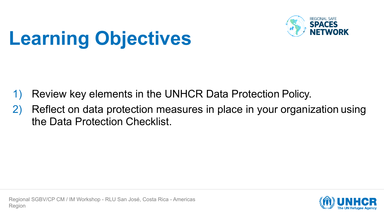

# **Learning Objectives**

- Review key elements in the UNHCR Data Protection Policy.
- 2) Reflect on data protection measures in place in your organization using the Data Protection Checklist.

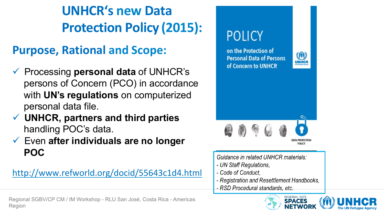**UNHCR's new Data Protection Policy (2015):**

### **Purpose, Rational and Scope:**

- ü Processing **personal data** of UNHCR's persons of Concern (PCO) in accordance with **UN's regulations** on computerized personal data file.
- ü **UNHCR, partners and third parties** handling POC's data.
- ü Even **after individuals are no longer POC**

http://www.refworld.org/docid/55643c1d4.html

Regional SGBV/CP CM / IM Workshop - RLU San José, Costa Rica - Americas Region

### **POLICY**

on the Protection of **Personal Data of Persons** of Concern to UNHCR





Guidance in related UNHCR materials:

- UN Staff Regulations.
- Code of Conduct.
- Registration and Resettlement Handbooks,
- RSD Procedural standards, etc.

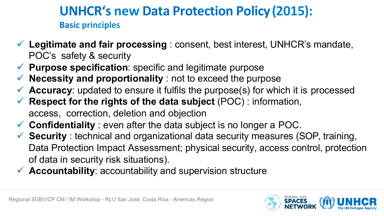#### **UNHCR's new Data Protection Policy (2015): Basic principles**

- ü **Legitimate and fair processing** : consent, best interest, UNHCR's mandate, POC's safety & security
- ü **Purpose specification**: specific and legitimate purpose
- $\checkmark$  **Necessity and proportionality** : not to exceed the purpose
- $\checkmark$  **Accuracy**: updated to ensure it fulfils the purpose(s) for which it is processed
- ü **Respect for the rights of the data subject** (POC) : information, access, correction, deletion and objection
- ü **Confidentiality** : even after the data subject is no longer a POC.
- **Security** : technical and organizational data security measures (SOP, training, Data Protection Impact Assessment; physical security, access control, protection of data in security risk situations).
- $\checkmark$  **Accountability**: accountability and supervision structure

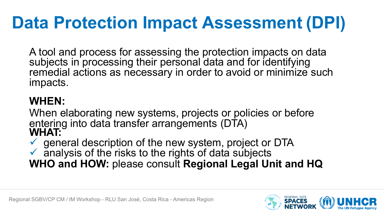## **Data Protection Impact Assessment (DPI)**

A tool and process for assessing the protection impacts on data subjects in processing their personal data and for identifying remedial actions as necessary in order to avoid or minimize such impacts.

#### **WHEN:**

When elaborating new systems, projects or policies or before entering into data transfer arrangements (DTA) **WHAT:**

general description of the new system, project or DTA

 $\checkmark$  analysis of the risks to the rights of data subjects **WHO and HOW:** please consult **Regional Legal Unit and HQ**

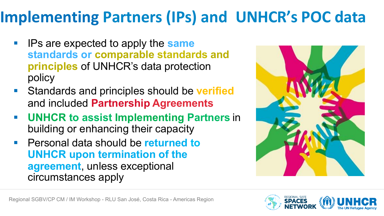### **Implementing Partners (IPs) and UNHCR's POC data**

- IPs are expected to apply the **same standards or comparable standards and principles** of UNHCR's data protection policy
- Standards and principles should be **verified** and included **Partnership Agreements**
- § **UNHCR to assist Implementing Partners** in building or enhancing their capacity
- § Personal data should be **returned to UNHCR upon termination of the agreement**, unless exceptional circumstances apply



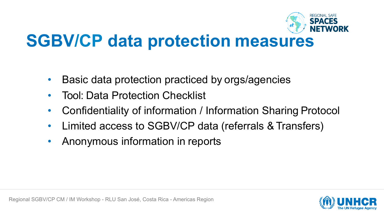

### **SGBV/CP data protection measures**

- Basic data protection practiced by orgs/agencies
- Tool: Data Protection Checklist
- Confidentiality of information / Information Sharing Protocol
- Limited access to SGBV/CP data (referrals & Transfers)
- Anonymous information in reports

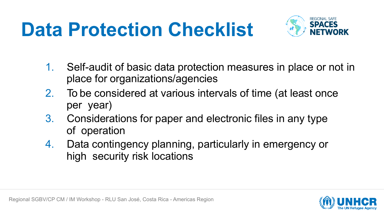# **Data Protection Checklist**



- 1. Self-audit of basic data protection measures in place or not in place for organizations/agencies
- 2. To be considered at various intervals of time (at least once per year)
- 3. Considerations for paper and electronic files in any type of operation
- 4. Data contingency planning, particularly in emergency or high security risk locations

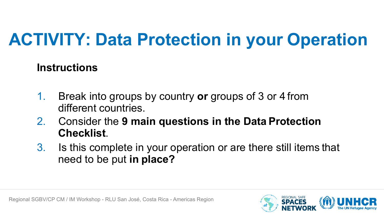## **ACTIVITY: Data Protection in your Operation**

#### **Instructions**

- 1. Break into groups by country **or** groups of 3 or 4 from different countries.
- 2. Consider the **9 main questions in the Data Protection Checklist**.
- 3. Is this complete in your operation or are there still items that need to be put **in place?**